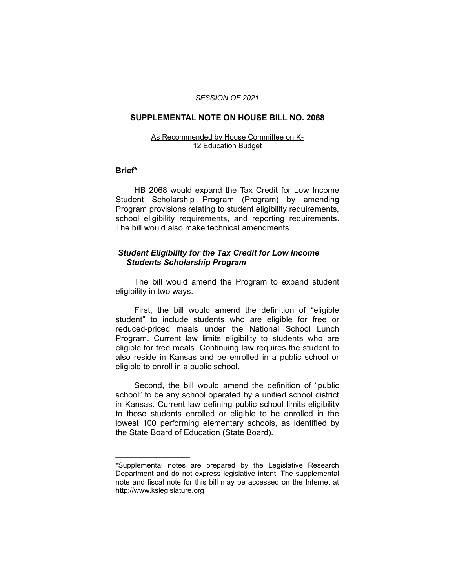#### *SESSION OF 2021*

#### **SUPPLEMENTAL NOTE ON HOUSE BILL NO. 2068**

#### As Recommended by House Committee on K-12 Education Budget

#### **Brief\***

HB 2068 would expand the Tax Credit for Low Income Student Scholarship Program (Program) by amending Program provisions relating to student eligibility requirements, school eligibility requirements, and reporting requirements. The bill would also make technical amendments.

# *Student Eligibility for the Tax Credit for Low Income Students Scholarship Program*

The bill would amend the Program to expand student eligibility in two ways.

First, the bill would amend the definition of "eligible student" to include students who are eligible for free or reduced-priced meals under the National School Lunch Program. Current law limits eligibility to students who are eligible for free meals. Continuing law requires the student to also reside in Kansas and be enrolled in a public school or eligible to enroll in a public school.

Second, the bill would amend the definition of "public school" to be any school operated by a unified school district in Kansas. Current law defining public school limits eligibility to those students enrolled or eligible to be enrolled in the lowest 100 performing elementary schools, as identified by the State Board of Education (State Board).

 $\overline{\phantom{a}}$  , where  $\overline{\phantom{a}}$  , where  $\overline{\phantom{a}}$ 

<sup>\*</sup>Supplemental notes are prepared by the Legislative Research Department and do not express legislative intent. The supplemental note and fiscal note for this bill may be accessed on the Internet at http://www.kslegislature.org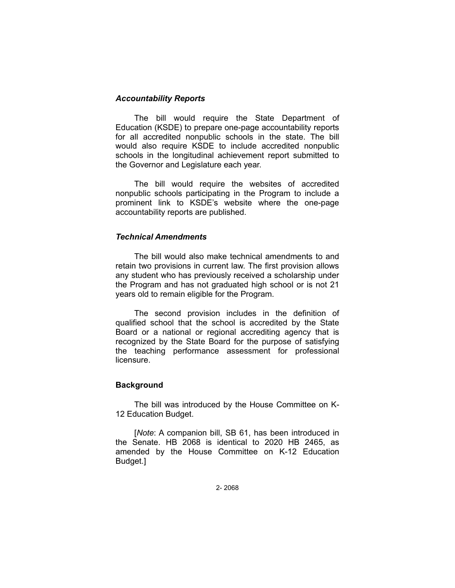## *Accountability Reports*

The bill would require the State Department of Education (KSDE) to prepare one-page accountability reports for all accredited nonpublic schools in the state. The bill would also require KSDE to include accredited nonpublic schools in the longitudinal achievement report submitted to the Governor and Legislature each year.

The bill would require the websites of accredited nonpublic schools participating in the Program to include a prominent link to KSDE's website where the one-page accountability reports are published.

#### *Technical Amendments*

The bill would also make technical amendments to and retain two provisions in current law. The first provision allows any student who has previously received a scholarship under the Program and has not graduated high school or is not 21 years old to remain eligible for the Program.

The second provision includes in the definition of qualified school that the school is accredited by the State Board or a national or regional accrediting agency that is recognized by the State Board for the purpose of satisfying the teaching performance assessment for professional licensure.

# **Background**

The bill was introduced by the House Committee on K-12 Education Budget.

[*Note*: A companion bill, SB 61, has been introduced in the Senate. HB 2068 is identical to 2020 HB 2465, as amended by the House Committee on K-12 Education Budget.]

2- 2068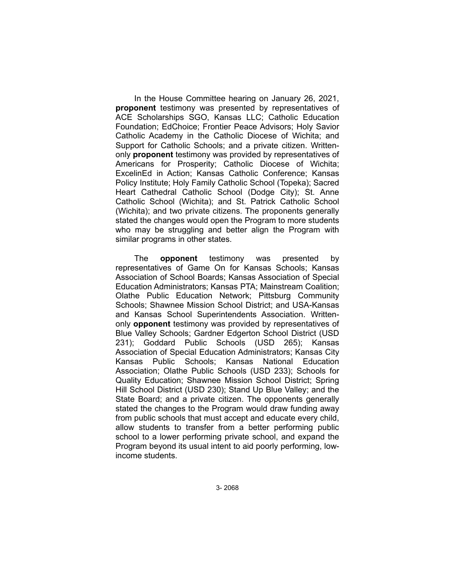In the House Committee hearing on January 26, 2021, **proponent** testimony was presented by representatives of ACE Scholarships SGO, Kansas LLC; Catholic Education Foundation; EdChoice; Frontier Peace Advisors; Holy Savior Catholic Academy in the Catholic Diocese of Wichita; and Support for Catholic Schools; and a private citizen. Writtenonly **proponent** testimony was provided by representatives of Americans for Prosperity; Catholic Diocese of Wichita; ExcelinEd in Action; Kansas Catholic Conference; Kansas Policy Institute; Holy Family Catholic School (Topeka); Sacred Heart Cathedral Catholic School (Dodge City); St. Anne Catholic School (Wichita); and St. Patrick Catholic School (Wichita); and two private citizens. The proponents generally stated the changes would open the Program to more students who may be struggling and better align the Program with similar programs in other states.

The **opponent** testimony was presented by representatives of Game On for Kansas Schools; Kansas Association of School Boards; Kansas Association of Special Education Administrators; Kansas PTA; Mainstream Coalition; Olathe Public Education Network; Pittsburg Community Schools; Shawnee Mission School District; and USA-Kansas and Kansas School Superintendents Association. Writtenonly **opponent** testimony was provided by representatives of Blue Valley Schools; Gardner Edgerton School District (USD 231); Goddard Public Schools (USD 265); Kansas Association of Special Education Administrators; Kansas City Kansas Public Schools; Kansas National Education Association; Olathe Public Schools (USD 233); Schools for Quality Education; Shawnee Mission School District; Spring Hill School District (USD 230); Stand Up Blue Valley; and the State Board; and a private citizen. The opponents generally stated the changes to the Program would draw funding away from public schools that must accept and educate every child, allow students to transfer from a better performing public school to a lower performing private school, and expand the Program beyond its usual intent to aid poorly performing, lowincome students.